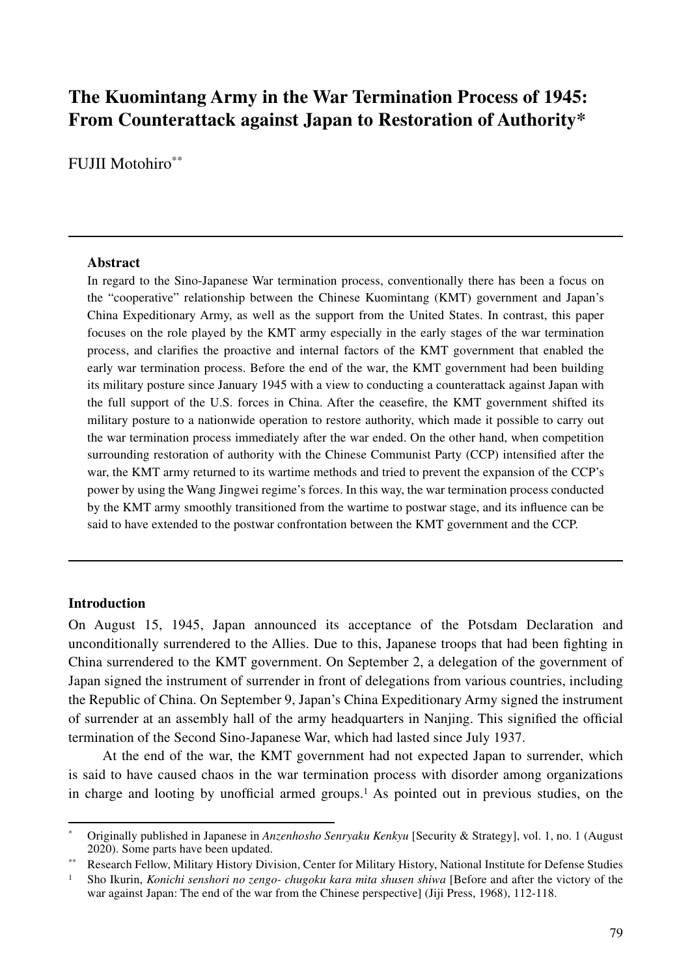# **The Kuomintang Army in the War Termination Process of 1945: From Counterattack against Japan to Restoration of Authority\***

FUJII Motohiro\*\*

#### **Abstract**

In regard to the Sino-Japanese War termination process, conventionally there has been a focus on the "cooperative" relationship between the Chinese Kuomintang (KMT) government and Japan's China Expeditionary Army, as well as the support from the United States. In contrast, this paper focuses on the role played by the KMT army especially in the early stages of the war termination process, and clarifies the proactive and internal factors of the KMT government that enabled the early war termination process. Before the end of the war, the KMT government had been building its military posture since January 1945 with a view to conducting a counterattack against Japan with the full support of the U.S. forces in China. After the ceasefire, the KMT government shifted its military posture to a nationwide operation to restore authority, which made it possible to carry out the war termination process immediately after the war ended. On the other hand, when competition surrounding restoration of authority with the Chinese Communist Party (CCP) intensified after the war, the KMT army returned to its wartime methods and tried to prevent the expansion of the CCP's power by using the Wang Jingwei regime's forces. In this way, the war termination process conducted by the KMT army smoothly transitioned from the wartime to postwar stage, and its influence can be said to have extended to the postwar confrontation between the KMT government and the CCP.

#### **Introduction**

On August 15, 1945, Japan announced its acceptance of the Potsdam Declaration and unconditionally surrendered to the Allies. Due to this, Japanese troops that had been fighting in China surrendered to the KMT government. On September 2, a delegation of the government of Japan signed the instrument of surrender in front of delegations from various countries, including the Republic of China. On September 9, Japan's China Expeditionary Army signed the instrument of surrender at an assembly hall of the army headquarters in Nanjing. This signified the official termination of the Second Sino-Japanese War, which had lasted since July 1937.

At the end of the war, the KMT government had not expected Japan to surrender, which is said to have caused chaos in the war termination process with disorder among organizations in charge and looting by unofficial armed groups.<sup>1</sup> As pointed out in previous studies, on the

<sup>\*</sup> Originally published in Japanese in *Anzenhosho Senryaku Kenkyu* [Security & Strategy], vol. 1, no. 1 (August 2020). Some parts have been updated.

<sup>\*\*</sup> Research Fellow, Military History Division, Center for Military History, National Institute for Defense Studies

<sup>&</sup>lt;sup>1</sup> Sho Ikurin, *Konichi senshori no zengo- chugoku kara mita shusen shiwa* [Before and after the victory of the war against Japan: The end of the war from the Chinese perspective] (Jiji Press, 1968), 112-118.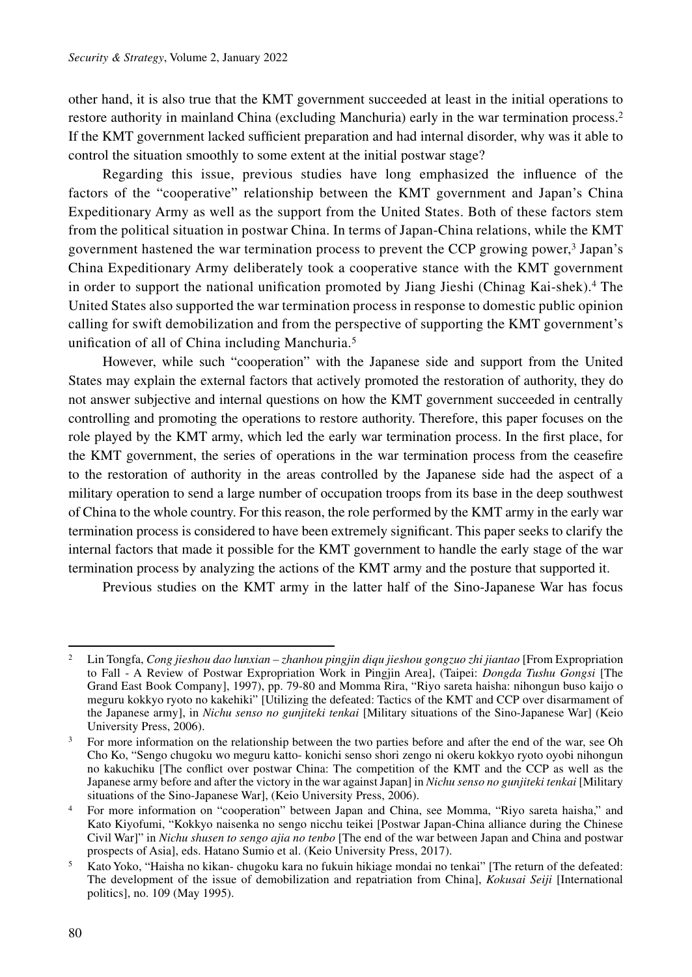other hand, it is also true that the KMT government succeeded at least in the initial operations to restore authority in mainland China (excluding Manchuria) early in the war termination process.2 If the KMT government lacked sufficient preparation and had internal disorder, why was it able to control the situation smoothly to some extent at the initial postwar stage?

Regarding this issue, previous studies have long emphasized the influence of the factors of the "cooperative" relationship between the KMT government and Japan's China Expeditionary Army as well as the support from the United States. Both of these factors stem from the political situation in postwar China. In terms of Japan-China relations, while the KMT government hastened the war termination process to prevent the CCP growing power, $\frac{3}{3}$  Japan's China Expeditionary Army deliberately took a cooperative stance with the KMT government in order to support the national unification promoted by Jiang Jieshi (Chinag Kai-shek).4 The United States also supported the war termination process in response to domestic public opinion calling for swift demobilization and from the perspective of supporting the KMT government's unification of all of China including Manchuria.5

However, while such "cooperation" with the Japanese side and support from the United States may explain the external factors that actively promoted the restoration of authority, they do not answer subjective and internal questions on how the KMT government succeeded in centrally controlling and promoting the operations to restore authority. Therefore, this paper focuses on the role played by the KMT army, which led the early war termination process. In the first place, for the KMT government, the series of operations in the war termination process from the ceasefire to the restoration of authority in the areas controlled by the Japanese side had the aspect of a military operation to send a large number of occupation troops from its base in the deep southwest of China to the whole country. For this reason, the role performed by the KMT army in the early war termination process is considered to have been extremely significant. This paper seeks to clarify the internal factors that made it possible for the KMT government to handle the early stage of the war termination process by analyzing the actions of the KMT army and the posture that supported it.

Previous studies on the KMT army in the latter half of the Sino-Japanese War has focus

<sup>2</sup> Lin Tongfa, *Cong jieshou dao lunxian – zhanhou pingjin diqu jieshou gongzuo zhi jiantao* [From Expropriation to Fall - A Review of Postwar Expropriation Work in Pingjin Area], (Taipei: *Dongda Tushu Gongsi* [The Grand East Book Company], 1997), pp. 79-80 and Momma Rira, "Riyo sareta haisha: nihongun buso kaijo o meguru kokkyo ryoto no kakehiki" [Utilizing the defeated: Tactics of the KMT and CCP over disarmament of the Japanese army], in *Nichu senso no gunjiteki tenkai* [Military situations of the Sino-Japanese War] (Keio University Press, 2006).<br><sup>3</sup> For more information on the relationship between the two parties before and after the end of the war, see Oh

Cho Ko, "Sengo chugoku wo meguru katto- konichi senso shori zengo ni okeru kokkyo ryoto oyobi nihongun no kakuchiku [The conflict over postwar China: The competition of the KMT and the CCP as well as the Japanese army before and after the victory in the war against Japan] in *Nichu senso no gunjiteki tenkai* [Military situations of the Sino-Japanese War], (Keio University Press, 2006).

<sup>4</sup> For more information on "cooperation" between Japan and China, see Momma, "Riyo sareta haisha," and Kato Kiyofumi, "Kokkyo naisenka no sengo nicchu teikei [Postwar Japan-China alliance during the Chinese Civil War]" in *Nichu shusen to sengo ajia no tenbo* [The end of the war between Japan and China and postwar

prospects of Asia], eds. Hatano Sumio et al. (Keio University Press, 2017).<br>5 Kato Yoko, "Haisha no kikan- chugoku kara no fukuin hikiage mondai no tenkai" [The return of the defeated: The development of the issue of demobilization and repatriation from China], *Kokusai Seiji* [International politics], no. 109 (May 1995).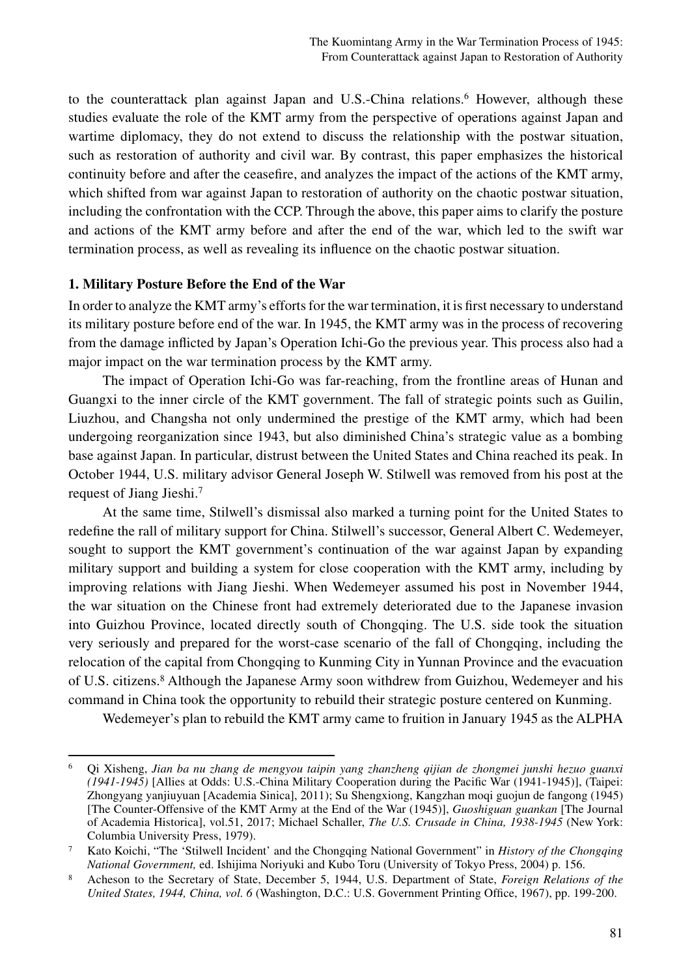to the counterattack plan against Japan and U.S.-China relations.<sup>6</sup> However, although these studies evaluate the role of the KMT army from the perspective of operations against Japan and wartime diplomacy, they do not extend to discuss the relationship with the postwar situation, such as restoration of authority and civil war. By contrast, this paper emphasizes the historical continuity before and after the ceasefire, and analyzes the impact of the actions of the KMT army, which shifted from war against Japan to restoration of authority on the chaotic postwar situation, including the confrontation with the CCP. Through the above, this paper aims to clarify the posture and actions of the KMT army before and after the end of the war, which led to the swift war termination process, as well as revealing its influence on the chaotic postwar situation.

## **1. Military Posture Before the End of the War**

In order to analyze the KMT army's efforts for the war termination, it is first necessary to understand its military posture before end of the war. In 1945, the KMT army was in the process of recovering from the damage inflicted by Japan's Operation Ichi-Go the previous year. This process also had a major impact on the war termination process by the KMT army.

The impact of Operation Ichi-Go was far-reaching, from the frontline areas of Hunan and Guangxi to the inner circle of the KMT government. The fall of strategic points such as Guilin, Liuzhou, and Changsha not only undermined the prestige of the KMT army, which had been undergoing reorganization since 1943, but also diminished China's strategic value as a bombing base against Japan. In particular, distrust between the United States and China reached its peak. In October 1944, U.S. military advisor General Joseph W. Stilwell was removed from his post at the request of Jiang Jieshi.7

At the same time, Stilwell's dismissal also marked a turning point for the United States to redefine the rall of military support for China. Stilwell's successor, General Albert C. Wedemeyer, sought to support the KMT government's continuation of the war against Japan by expanding military support and building a system for close cooperation with the KMT army, including by improving relations with Jiang Jieshi. When Wedemeyer assumed his post in November 1944, the war situation on the Chinese front had extremely deteriorated due to the Japanese invasion into Guizhou Province, located directly south of Chongqing. The U.S. side took the situation very seriously and prepared for the worst-case scenario of the fall of Chongqing, including the relocation of the capital from Chongqing to Kunming City in Yunnan Province and the evacuation of U.S. citizens.8 Although the Japanese Army soon withdrew from Guizhou, Wedemeyer and his command in China took the opportunity to rebuild their strategic posture centered on Kunming.

Wedemeyer's plan to rebuild the KMT army came to fruition in January 1945 as the ALPHA

<sup>6</sup> Qi Xisheng, *Jian ba nu zhang de mengyou taipin yang zhanzheng qijian de zhongmei junshi hezuo guanxi (1941-1945)* [Allies at Odds: U.S.-China Military Cooperation during the Pacific War (1941-1945)], (Taipei: Zhongyang yanjiuyuan [Academia Sinica], 2011); Su Shengxiong, Kangzhan moqi guojun de fangong (1945) [The Counter-Offensive of the KMT Army at the End of the War (1945)], *Guoshiguan guankan* [The Journal of Academia Historica], vol.51, 2017; Michael Schaller, *The U.S. Crusade in China, 1938-1945* (New York: Columbia University Press, 1979).

<sup>7</sup> Kato Koichi, "The 'Stilwell Incident' and the Chongqing National Government" in *History of the Chongqing National Government,* ed. Ishijima Noriyuki and Kubo Toru (University of Tokyo Press, 2004) p. 156.

<sup>8</sup> Acheson to the Secretary of State, December 5, 1944, U.S. Department of State, *Foreign Relations of the United States, 1944, China, vol. 6* (Washington, D.C.: U.S. Government Printing Office, 1967), pp. 199-200.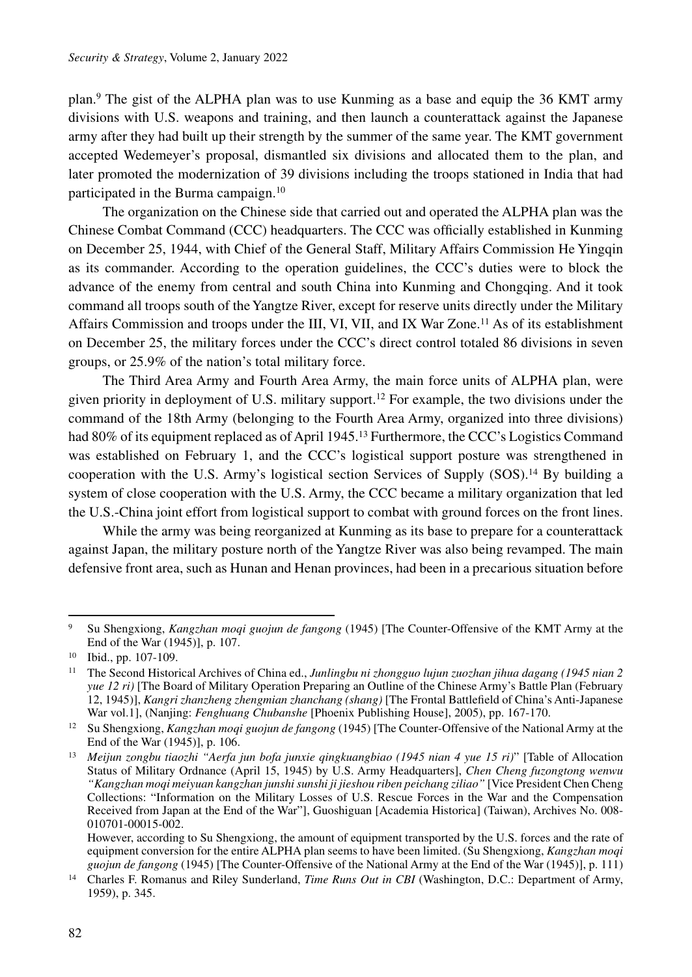plan.9 The gist of the ALPHA plan was to use Kunming as a base and equip the 36 KMT army divisions with U.S. weapons and training, and then launch a counterattack against the Japanese army after they had built up their strength by the summer of the same year. The KMT government accepted Wedemeyer's proposal, dismantled six divisions and allocated them to the plan, and later promoted the modernization of 39 divisions including the troops stationed in India that had participated in the Burma campaign.10

The organization on the Chinese side that carried out and operated the ALPHA plan was the Chinese Combat Command (CCC) headquarters. The CCC was officially established in Kunming on December 25, 1944, with Chief of the General Staff, Military Affairs Commission He Yingqin as its commander. According to the operation guidelines, the CCC's duties were to block the advance of the enemy from central and south China into Kunming and Chongqing. And it took command all troops south of the Yangtze River, except for reserve units directly under the Military Affairs Commission and troops under the III, VI, VII, and IX War Zone.11 As of its establishment on December 25, the military forces under the CCC's direct control totaled 86 divisions in seven groups, or 25.9% of the nation's total military force.

The Third Area Army and Fourth Area Army, the main force units of ALPHA plan, were given priority in deployment of U.S. military support.12 For example, the two divisions under the command of the 18th Army (belonging to the Fourth Area Army, organized into three divisions) had 80% of its equipment replaced as of April 1945.<sup>13</sup> Furthermore, the CCC's Logistics Command was established on February 1, and the CCC's logistical support posture was strengthened in cooperation with the U.S. Army's logistical section Services of Supply  $(SOS)$ .<sup>14</sup> By building a system of close cooperation with the U.S. Army, the CCC became a military organization that led the U.S.-China joint effort from logistical support to combat with ground forces on the front lines.

While the army was being reorganized at Kunming as its base to prepare for a counterattack against Japan, the military posture north of the Yangtze River was also being revamped. The main defensive front area, such as Hunan and Henan provinces, had been in a precarious situation before

<sup>9</sup> Su Shengxiong, *Kangzhan moqi guojun de fangong* (1945) [The Counter-Offensive of the KMT Army at the End of the War (1945)], p. 107.

<sup>10</sup> Ibid., pp. 107-109.

<sup>11</sup> The Second Historical Archives of China ed., *Junlingbu ni zhongguo lujun zuozhan jihua dagang (1945 nian 2 yue 12 ri)* [The Board of Military Operation Preparing an Outline of the Chinese Army's Battle Plan (February 12, 1945)], *Kangri zhanzheng zhengmian zhanchang (shang)* [The Frontal Battlefield of China's Anti-Japanese War vol.1], (Nanjing: *Fenghuang Chubanshe* [Phoenix Publishing House], 2005), pp. 167-170.

<sup>12</sup> Su Shengxiong, *Kangzhan moqi guojun de fangong* (1945) [The Counter-Offensive of the National Army at the End of the War (1945)], p. 106.

<sup>13</sup> *Meijun zongbu tiaozhi "Aerfa jun bofa junxie qingkuangbiao (1945 nian 4 yue 15 ri)*" [Table of Allocation Status of Military Ordnance (April 15, 1945) by U.S. Army Headquarters], *Chen Cheng fuzongtong wenwu "Kangzhan moqi meiyuan kangzhan junshi sunshi ji jieshou riben peichang ziliao"* [Vice President Chen Cheng Collections: "Information on the Military Losses of U.S. Rescue Forces in the War and the Compensation Received from Japan at the End of the War"], Guoshiguan [Academia Historica] (Taiwan), Archives No. 008- 010701-00015-002.

However, according to Su Shengxiong, the amount of equipment transported by the U.S. forces and the rate of equipment conversion for the entire ALPHA plan seems to have been limited. (Su Shengxiong, *Kangzhan moqi guojun de fangong* (1945) [The Counter-Offensive of the National Army at the End of the War (1945)], p. 111)

<sup>14</sup> Charles F. Romanus and Riley Sunderland, *Time Runs Out in CBI* (Washington, D.C.: Department of Army, 1959), p. 345.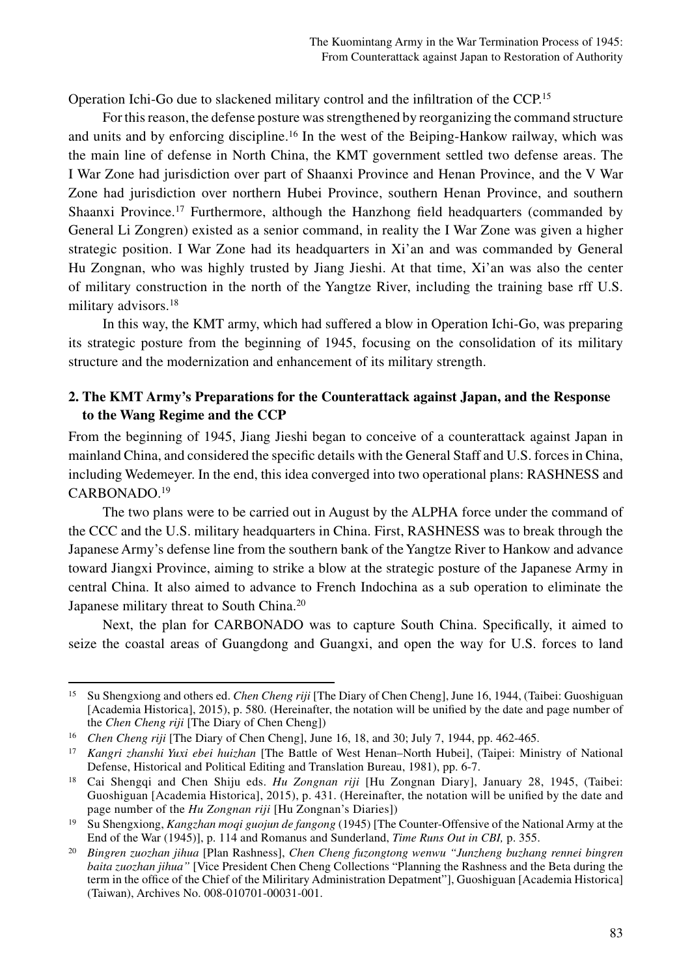Operation Ichi-Go due to slackened military control and the infiltration of the CCP.15

For this reason, the defense posture was strengthened by reorganizing the command structure and units and by enforcing discipline.16 In the west of the Beiping-Hankow railway, which was the main line of defense in North China, the KMT government settled two defense areas. The I War Zone had jurisdiction over part of Shaanxi Province and Henan Province, and the V War Zone had jurisdiction over northern Hubei Province, southern Henan Province, and southern Shaanxi Province.17 Furthermore, although the Hanzhong field headquarters (commanded by General Li Zongren) existed as a senior command, in reality the I War Zone was given a higher strategic position. I War Zone had its headquarters in Xi'an and was commanded by General Hu Zongnan, who was highly trusted by Jiang Jieshi. At that time, Xi'an was also the center of military construction in the north of the Yangtze River, including the training base rff U.S. military advisors.<sup>18</sup>

In this way, the KMT army, which had suffered a blow in Operation Ichi-Go, was preparing its strategic posture from the beginning of 1945, focusing on the consolidation of its military structure and the modernization and enhancement of its military strength.

## **2. The KMT Army's Preparations for the Counterattack against Japan, and the Response to the Wang Regime and the CCP**

From the beginning of 1945, Jiang Jieshi began to conceive of a counterattack against Japan in mainland China, and considered the specific details with the General Staff and U.S. forces in China, including Wedemeyer. In the end, this idea converged into two operational plans: RASHNESS and CARBONADO.19

The two plans were to be carried out in August by the ALPHA force under the command of the CCC and the U.S. military headquarters in China. First, RASHNESS was to break through the Japanese Army's defense line from the southern bank of the Yangtze River to Hankow and advance toward Jiangxi Province, aiming to strike a blow at the strategic posture of the Japanese Army in central China. It also aimed to advance to French Indochina as a sub operation to eliminate the Japanese military threat to South China.20

Next, the plan for CARBONADO was to capture South China. Specifically, it aimed to seize the coastal areas of Guangdong and Guangxi, and open the way for U.S. forces to land

<sup>15</sup> Su Shengxiong and others ed. *Chen Cheng riji* [The Diary of Chen Cheng], June 16, 1944, (Taibei: Guoshiguan [Academia Historica], 2015), p. 580. (Hereinafter, the notation will be unified by the date and page number of the *Chen Cheng riji* [The Diary of Chen Cheng])

<sup>16</sup> *Chen Cheng riji* [The Diary of Chen Cheng], June 16, 18, and 30; July 7, 1944, pp. 462-465.

<sup>17</sup> *Kangri zhanshi Yuxi ebei huizhan* [The Battle of West Henan–North Hubei], (Taipei: Ministry of National Defense, Historical and Political Editing and Translation Bureau, 1981), pp. 6-7.

<sup>18</sup> Cai Shengqi and Chen Shiju eds. *Hu Zongnan riji* [Hu Zongnan Diary], January 28, 1945, (Taibei: Guoshiguan [Academia Historica], 2015), p. 431. (Hereinafter, the notation will be unified by the date and page number of the *Hu Zongnan riji* [Hu Zongnan's Diaries]) 19 Su Shengxiong, *Kangzhan moqi guojun de fangong* (1945) [The Counter-Offensive of the National Army at the

End of the War (1945)], p. 114 and Romanus and Sunderland, *Time Runs Out in CBI,* p. 355.

<sup>20</sup> *Bingren zuozhan jihua* [Plan Rashness], *Chen Cheng fuzongtong wenwu "Junzheng buzhang rennei bingren baita zuozhan jihua"* [Vice President Chen Cheng Collections "Planning the Rashness and the Beta during the term in the office of the Chief of the Miliritary Administration Depatment"], Guoshiguan [Academia Historica] (Taiwan), Archives No. 008-010701-00031-001.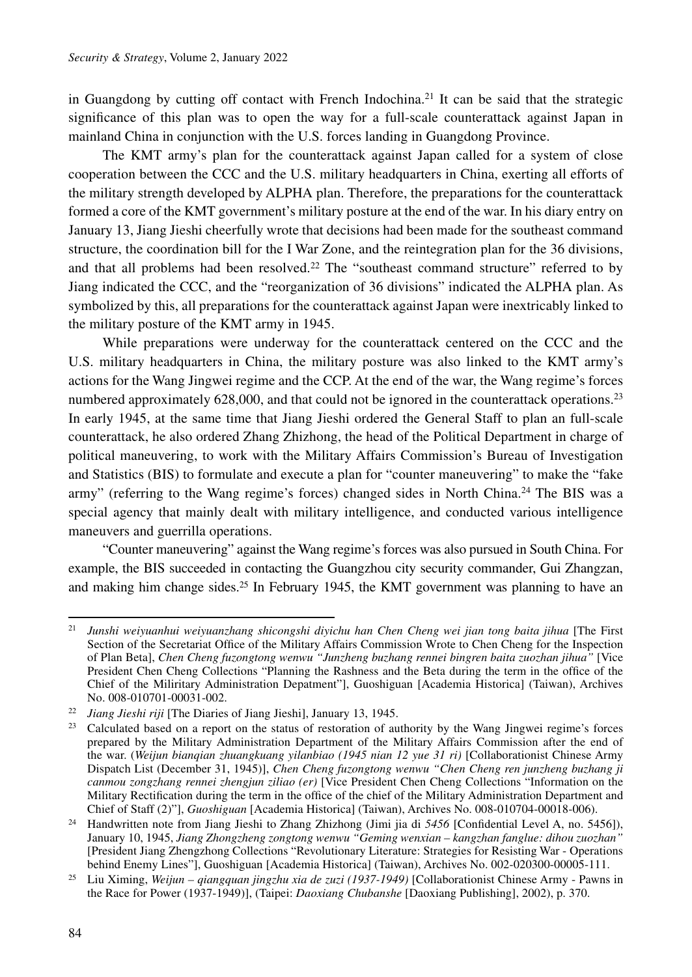in Guangdong by cutting off contact with French Indochina.<sup>21</sup> It can be said that the strategic significance of this plan was to open the way for a full-scale counterattack against Japan in mainland China in conjunction with the U.S. forces landing in Guangdong Province.

The KMT army's plan for the counterattack against Japan called for a system of close cooperation between the CCC and the U.S. military headquarters in China, exerting all efforts of the military strength developed by ALPHA plan. Therefore, the preparations for the counterattack formed a core of the KMT government's military posture at the end of the war. In his diary entry on January 13, Jiang Jieshi cheerfully wrote that decisions had been made for the southeast command structure, the coordination bill for the I War Zone, and the reintegration plan for the 36 divisions, and that all problems had been resolved.<sup>22</sup> The "southeast command structure" referred to by Jiang indicated the CCC, and the "reorganization of 36 divisions" indicated the ALPHA plan. As symbolized by this, all preparations for the counterattack against Japan were inextricably linked to the military posture of the KMT army in 1945.

While preparations were underway for the counterattack centered on the CCC and the U.S. military headquarters in China, the military posture was also linked to the KMT army's actions for the Wang Jingwei regime and the CCP. At the end of the war, the Wang regime's forces numbered approximately  $628,000$ , and that could not be ignored in the counterattack operations.<sup>23</sup> In early 1945, at the same time that Jiang Jieshi ordered the General Staff to plan an full-scale counterattack, he also ordered Zhang Zhizhong, the head of the Political Department in charge of political maneuvering, to work with the Military Affairs Commission's Bureau of Investigation and Statistics (BIS) to formulate and execute a plan for "counter maneuvering" to make the "fake army" (referring to the Wang regime's forces) changed sides in North China.24 The BIS was a special agency that mainly dealt with military intelligence, and conducted various intelligence maneuvers and guerrilla operations.

"Counter maneuvering" against the Wang regime's forces was also pursued in South China. For example, the BIS succeeded in contacting the Guangzhou city security commander, Gui Zhangzan, and making him change sides.<sup>25</sup> In February 1945, the KMT government was planning to have an

<sup>21</sup> *Junshi weiyuanhui weiyuanzhang shicongshi diyichu han Chen Cheng wei jian tong baita jihua* [The First Section of the Secretariat Office of the Military Affairs Commission Wrote to Chen Cheng for the Inspection of Plan Beta], *Chen Cheng fuzongtong wenwu "Junzheng buzhang rennei bingren baita zuozhan jihua"* [Vice President Chen Cheng Collections "Planning the Rashness and the Beta during the term in the office of the Chief of the Miliritary Administration Depatment"], Guoshiguan [Academia Historica] (Taiwan), Archives No. 008-010701-00031-002.

<sup>22</sup> *Jiang Jieshi riji* [The Diaries of Jiang Jieshi], January 13, 1945.

<sup>&</sup>lt;sup>23</sup> Calculated based on a report on the status of restoration of authority by the Wang Jingwei regime's forces prepared by the Military Administration Department of the Military Affairs Commission after the end of the war. (*Weijun bianqian zhuangkuang yilanbiao (1945 nian 12 yue 31 ri)* [Collaborationist Chinese Army Dispatch List (December 31, 1945)], *Chen Cheng fuzongtong wenwu "Chen Cheng ren junzheng buzhang ji canmou zongzhang rennei zhengjun ziliao (er)* [Vice President Chen Cheng Collections "Information on the Military Rectification during the term in the office of the chief of the Military Administration Department and Chief of Staff (2)"], *Guoshiguan* [Academia Historica] (Taiwan), Archives No. 008-010704-00018-006).

<sup>24</sup> Handwritten note from Jiang Jieshi to Zhang Zhizhong (Jimi jia di *5456* [Confidential Level A, no. 5456]), January 10, 1945, *Jiang Zhongzheng zongtong wenwu "Geming wenxian – kangzhan fanglue: dihou zuozhan"* [President Jiang Zhengzhong Collections "Revolutionary Literature: Strategies for Resisting War - Operations behind Enemy Lines"], Guoshiguan [Academia Historica] (Taiwan), Archives No. 002-020300-00005-111.

<sup>25</sup> Liu Ximing, *Weijun – qiangquan jingzhu xia de zuzi (1937-1949)* [Collaborationist Chinese Army - Pawns in the Race for Power (1937-1949)], (Taipei: *Daoxiang Chubanshe* [Daoxiang Publishing], 2002), p. 370.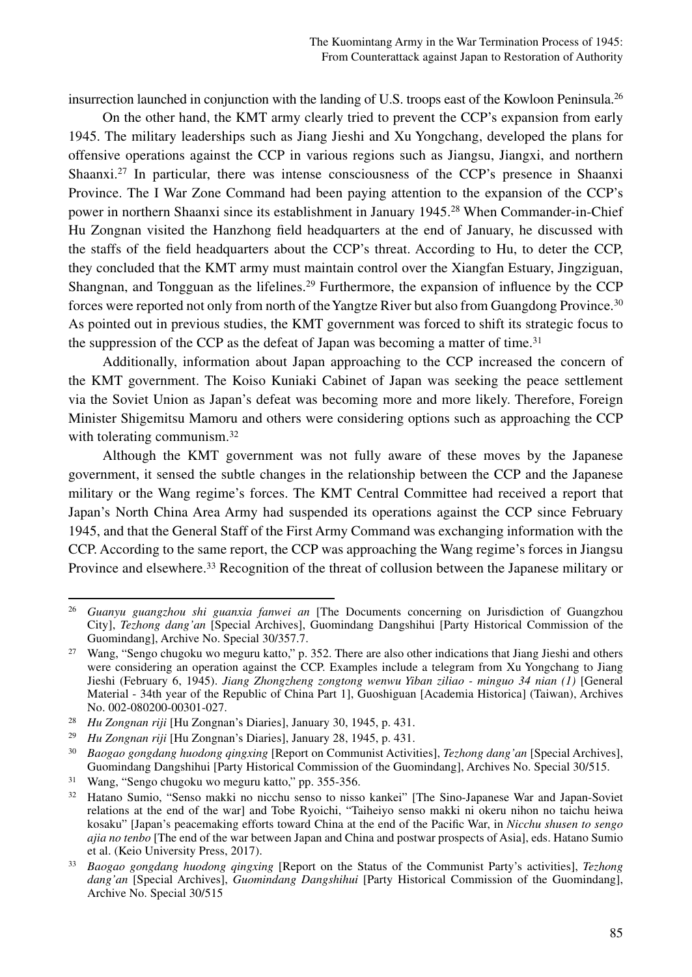insurrection launched in conjunction with the landing of U.S. troops east of the Kowloon Peninsula.26

On the other hand, the KMT army clearly tried to prevent the CCP's expansion from early 1945. The military leaderships such as Jiang Jieshi and Xu Yongchang, developed the plans for offensive operations against the CCP in various regions such as Jiangsu, Jiangxi, and northern Shaanxi.27 In particular, there was intense consciousness of the CCP's presence in Shaanxi Province. The I War Zone Command had been paying attention to the expansion of the CCP's power in northern Shaanxi since its establishment in January 1945.28 When Commander-in-Chief Hu Zongnan visited the Hanzhong field headquarters at the end of January, he discussed with the staffs of the field headquarters about the CCP's threat. According to Hu, to deter the CCP, they concluded that the KMT army must maintain control over the Xiangfan Estuary, Jingziguan, Shangnan, and Tongguan as the lifelines.<sup>29</sup> Furthermore, the expansion of influence by the CCP forces were reported not only from north of the Yangtze River but also from Guangdong Province.<sup>30</sup> As pointed out in previous studies, the KMT government was forced to shift its strategic focus to the suppression of the CCP as the defeat of Japan was becoming a matter of time.<sup>31</sup>

Additionally, information about Japan approaching to the CCP increased the concern of the KMT government. The Koiso Kuniaki Cabinet of Japan was seeking the peace settlement via the Soviet Union as Japan's defeat was becoming more and more likely. Therefore, Foreign Minister Shigemitsu Mamoru and others were considering options such as approaching the CCP with tolerating communism.<sup>32</sup>

Although the KMT government was not fully aware of these moves by the Japanese government, it sensed the subtle changes in the relationship between the CCP and the Japanese military or the Wang regime's forces. The KMT Central Committee had received a report that Japan's North China Area Army had suspended its operations against the CCP since February 1945, and that the General Staff of the First Army Command was exchanging information with the CCP. According to the same report, the CCP was approaching the Wang regime's forces in Jiangsu Province and elsewhere.<sup>33</sup> Recognition of the threat of collusion between the Japanese military or

<sup>26</sup> *Guanyu guangzhou shi guanxia fanwei an* [The Documents concerning on Jurisdiction of Guangzhou City], *Tezhong dang'an* [Special Archives], Guomindang Dangshihui [Party Historical Commission of the Guomindang], Archive No. Special 30/357.7.

<sup>&</sup>lt;sup>27</sup> Wang, "Sengo chugoku wo meguru katto," p. 352. There are also other indications that Jiang Jieshi and others were considering an operation against the CCP. Examples include a telegram from Xu Yongchang to Jiang Jieshi (February 6, 1945). *Jiang Zhongzheng zongtong wenwu Yiban ziliao - minguo 34 nian (1)* [General Material - 34th year of the Republic of China Part 1], Guoshiguan [Academia Historica] (Taiwan), Archives No. 002-080200-00301-027.

<sup>28</sup> *Hu Zongnan riji* [Hu Zongnan's Diaries], January 30, 1945, p. 431.

<sup>29</sup> *Hu Zongnan riji* [Hu Zongnan's Diaries], January 28, 1945, p. 431.

<sup>30</sup> *Baogao gongdang huodong qingxing* [Report on Communist Activities], *Tezhong dang'an* [Special Archives], Guomindang Dangshihui [Party Historical Commission of the Guomindang], Archives No. Special 30/515.

<sup>31</sup> Wang, "Sengo chugoku wo meguru katto," pp. 355-356.

<sup>32</sup> Hatano Sumio, "Senso makki no nicchu senso to nisso kankei" [The Sino-Japanese War and Japan-Soviet relations at the end of the war] and Tobe Ryoichi, "Taiheiyo senso makki ni okeru nihon no taichu heiwa kosaku" [Japan's peacemaking efforts toward China at the end of the Pacific War, in *Nicchu shusen to sengo ajia no tenbo* [The end of the war between Japan and China and postwar prospects of Asia], eds. Hatano Sumio et al. (Keio University Press, 2017).

<sup>33</sup> *Baogao gongdang huodong qingxing* [Report on the Status of the Communist Party's activities], *Tezhong dang'an* [Special Archives], *Guomindang Dangshihui* [Party Historical Commission of the Guomindang], Archive No. Special 30/515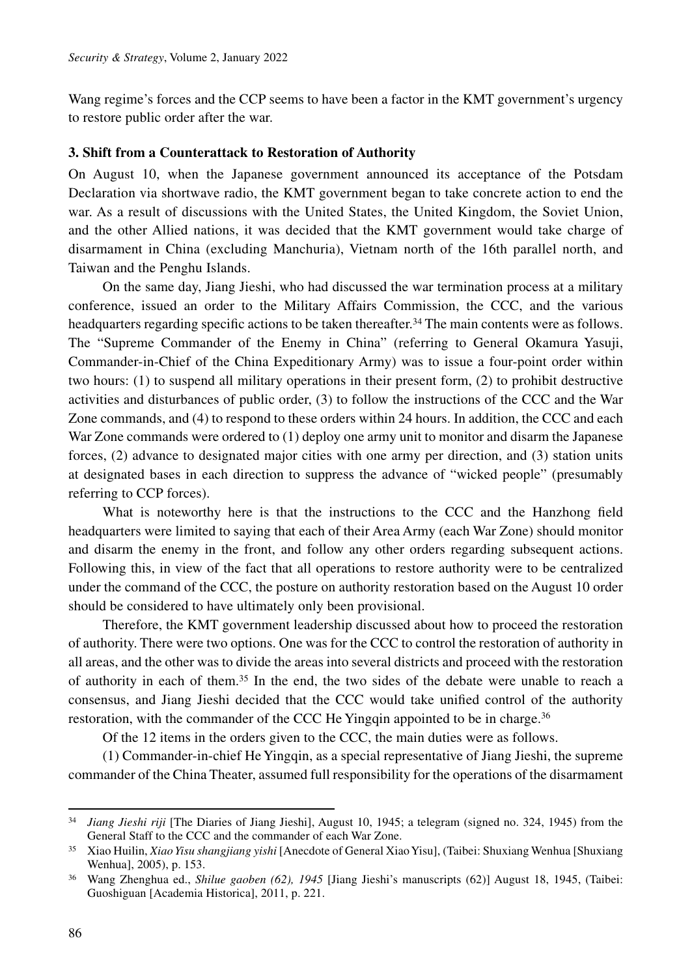Wang regime's forces and the CCP seems to have been a factor in the KMT government's urgency to restore public order after the war.

#### **3. Shift from a Counterattack to Restoration of Authority**

On August 10, when the Japanese government announced its acceptance of the Potsdam Declaration via shortwave radio, the KMT government began to take concrete action to end the war. As a result of discussions with the United States, the United Kingdom, the Soviet Union, and the other Allied nations, it was decided that the KMT government would take charge of disarmament in China (excluding Manchuria), Vietnam north of the 16th parallel north, and Taiwan and the Penghu Islands.

On the same day, Jiang Jieshi, who had discussed the war termination process at a military conference, issued an order to the Military Affairs Commission, the CCC, and the various headquarters regarding specific actions to be taken thereafter.<sup>34</sup> The main contents were as follows. The "Supreme Commander of the Enemy in China" (referring to General Okamura Yasuji, Commander-in-Chief of the China Expeditionary Army) was to issue a four-point order within two hours: (1) to suspend all military operations in their present form, (2) to prohibit destructive activities and disturbances of public order, (3) to follow the instructions of the CCC and the War Zone commands, and (4) to respond to these orders within 24 hours. In addition, the CCC and each War Zone commands were ordered to (1) deploy one army unit to monitor and disarm the Japanese forces, (2) advance to designated major cities with one army per direction, and (3) station units at designated bases in each direction to suppress the advance of "wicked people" (presumably referring to CCP forces).

What is noteworthy here is that the instructions to the CCC and the Hanzhong field headquarters were limited to saying that each of their Area Army (each War Zone) should monitor and disarm the enemy in the front, and follow any other orders regarding subsequent actions. Following this, in view of the fact that all operations to restore authority were to be centralized under the command of the CCC, the posture on authority restoration based on the August 10 order should be considered to have ultimately only been provisional.

Therefore, the KMT government leadership discussed about how to proceed the restoration of authority. There were two options. One was for the CCC to control the restoration of authority in all areas, and the other was to divide the areas into several districts and proceed with the restoration of authority in each of them.35 In the end, the two sides of the debate were unable to reach a consensus, and Jiang Jieshi decided that the CCC would take unified control of the authority restoration, with the commander of the CCC He Yingqin appointed to be in charge.<sup>36</sup>

Of the 12 items in the orders given to the CCC, the main duties were as follows.

(1) Commander-in-chief He Yingqin, as a special representative of Jiang Jieshi, the supreme commander of the China Theater, assumed full responsibility for the operations of the disarmament

<sup>34</sup> *Jiang Jieshi riji* [The Diaries of Jiang Jieshi], August 10, 1945; a telegram (signed no. 324, 1945) from the General Staff to the CCC and the commander of each War Zone.

<sup>35</sup> Xiao Huilin, *Xiao Yisu shangjiang yishi* [Anecdote of General Xiao Yisu], (Taibei: Shuxiang Wenhua [Shuxiang Wenhua], 2005), p. 153.

<sup>36</sup> Wang Zhenghua ed., *Shilue gaoben (62), 1945* [Jiang Jieshi's manuscripts (62)] August 18, 1945, (Taibei: Guoshiguan [Academia Historica], 2011, p. 221.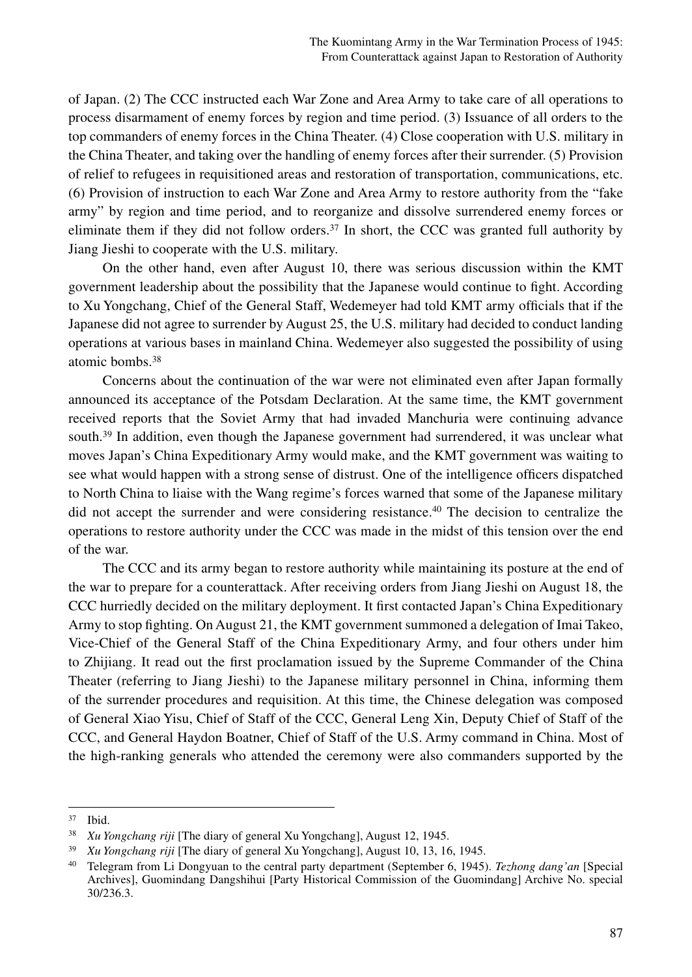of Japan. (2) The CCC instructed each War Zone and Area Army to take care of all operations to process disarmament of enemy forces by region and time period. (3) Issuance of all orders to the top commanders of enemy forces in the China Theater. (4) Close cooperation with U.S. military in the China Theater, and taking over the handling of enemy forces after their surrender. (5) Provision of relief to refugees in requisitioned areas and restoration of transportation, communications, etc. (6) Provision of instruction to each War Zone and Area Army to restore authority from the "fake army" by region and time period, and to reorganize and dissolve surrendered enemy forces or eliminate them if they did not follow orders.<sup>37</sup> In short, the CCC was granted full authority by Jiang Jieshi to cooperate with the U.S. military.

On the other hand, even after August 10, there was serious discussion within the KMT government leadership about the possibility that the Japanese would continue to fight. According to Xu Yongchang, Chief of the General Staff, Wedemeyer had told KMT army officials that if the Japanese did not agree to surrender by August 25, the U.S. military had decided to conduct landing operations at various bases in mainland China. Wedemeyer also suggested the possibility of using atomic bombs.38

Concerns about the continuation of the war were not eliminated even after Japan formally announced its acceptance of the Potsdam Declaration. At the same time, the KMT government received reports that the Soviet Army that had invaded Manchuria were continuing advance south.<sup>39</sup> In addition, even though the Japanese government had surrendered, it was unclear what moves Japan's China Expeditionary Army would make, and the KMT government was waiting to see what would happen with a strong sense of distrust. One of the intelligence officers dispatched to North China to liaise with the Wang regime's forces warned that some of the Japanese military did not accept the surrender and were considering resistance.40 The decision to centralize the operations to restore authority under the CCC was made in the midst of this tension over the end of the war.

The CCC and its army began to restore authority while maintaining its posture at the end of the war to prepare for a counterattack. After receiving orders from Jiang Jieshi on August 18, the CCC hurriedly decided on the military deployment. It first contacted Japan's China Expeditionary Army to stop fighting. On August 21, the KMT government summoned a delegation of Imai Takeo, Vice-Chief of the General Staff of the China Expeditionary Army, and four others under him to Zhijiang. It read out the first proclamation issued by the Supreme Commander of the China Theater (referring to Jiang Jieshi) to the Japanese military personnel in China, informing them of the surrender procedures and requisition. At this time, the Chinese delegation was composed of General Xiao Yisu, Chief of Staff of the CCC, General Leng Xin, Deputy Chief of Staff of the CCC, and General Haydon Boatner, Chief of Staff of the U.S. Army command in China. Most of the high-ranking generals who attended the ceremony were also commanders supported by the

<sup>37</sup> Ibid. 38 *Xu Yongchang riji* [The diary of general Xu Yongchang], August 12, 1945.

<sup>39</sup> *Xu Yongchang riji* [The diary of general Xu Yongchang], August 10, 13, 16, 1945.

<sup>40</sup> Telegram from Li Dongyuan to the central party department (September 6, 1945). *Tezhong dang'an* [Special Archives], Guomindang Dangshihui [Party Historical Commission of the Guomindang] Archive No. special 30/236.3.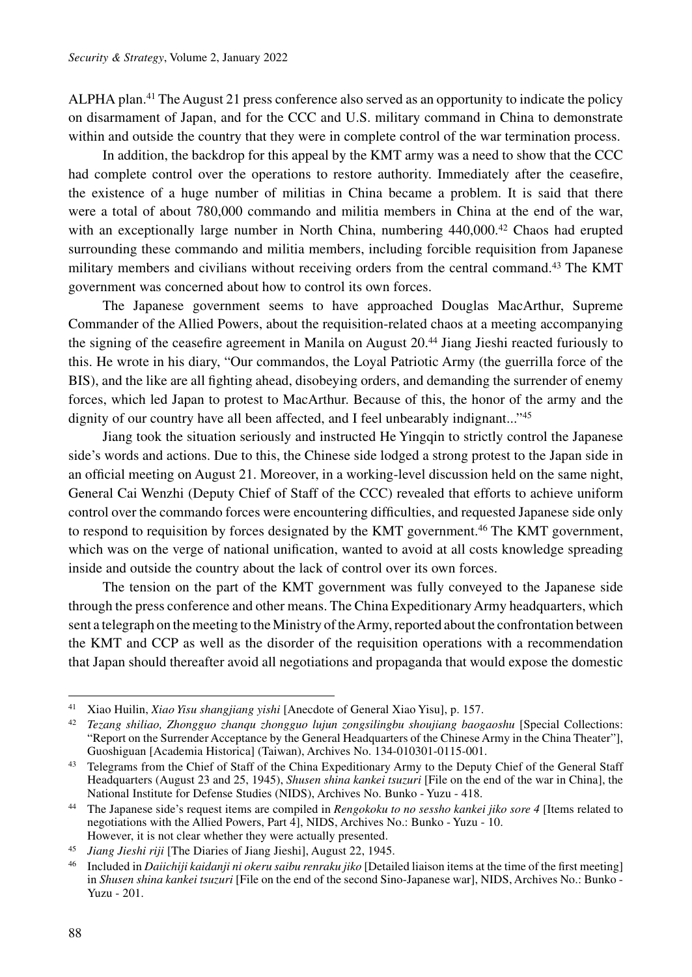ALPHA plan.41 The August 21 press conference also served as an opportunity to indicate the policy on disarmament of Japan, and for the CCC and U.S. military command in China to demonstrate within and outside the country that they were in complete control of the war termination process.

In addition, the backdrop for this appeal by the KMT army was a need to show that the CCC had complete control over the operations to restore authority. Immediately after the ceasefire, the existence of a huge number of militias in China became a problem. It is said that there were a total of about 780,000 commando and militia members in China at the end of the war, with an exceptionally large number in North China, numbering 440,000.<sup>42</sup> Chaos had erupted surrounding these commando and militia members, including forcible requisition from Japanese military members and civilians without receiving orders from the central command.43 The KMT government was concerned about how to control its own forces.

The Japanese government seems to have approached Douglas MacArthur, Supreme Commander of the Allied Powers, about the requisition-related chaos at a meeting accompanying the signing of the ceasefire agreement in Manila on August 20.44 Jiang Jieshi reacted furiously to this. He wrote in his diary, "Our commandos, the Loyal Patriotic Army (the guerrilla force of the BIS), and the like are all fighting ahead, disobeying orders, and demanding the surrender of enemy forces, which led Japan to protest to MacArthur. Because of this, the honor of the army and the dignity of our country have all been affected, and I feel unbearably indignant..."<sup>45</sup>

Jiang took the situation seriously and instructed He Yingqin to strictly control the Japanese side's words and actions. Due to this, the Chinese side lodged a strong protest to the Japan side in an official meeting on August 21. Moreover, in a working-level discussion held on the same night, General Cai Wenzhi (Deputy Chief of Staff of the CCC) revealed that efforts to achieve uniform control over the commando forces were encountering difficulties, and requested Japanese side only to respond to requisition by forces designated by the KMT government.<sup>46</sup> The KMT government, which was on the verge of national unification, wanted to avoid at all costs knowledge spreading inside and outside the country about the lack of control over its own forces.

The tension on the part of the KMT government was fully conveyed to the Japanese side through the press conference and other means. The China Expeditionary Army headquarters, which sent a telegraph on the meeting to the Ministry of the Army, reported about the confrontation between the KMT and CCP as well as the disorder of the requisition operations with a recommendation that Japan should thereafter avoid all negotiations and propaganda that would expose the domestic

<sup>41</sup> Xiao Huilin, *Xiao Yisu shangjiang yishi* [Anecdote of General Xiao Yisu], p. 157.

<sup>42</sup> *Tezang shiliao, Zhongguo zhanqu zhongguo lujun zongsilingbu shoujiang baogaoshu* [Special Collections: "Report on the Surrender Acceptance by the General Headquarters of the Chinese Army in the China Theater"], Guoshiguan [Academia Historica] (Taiwan), Archives No. 134-010301-0115-001.

<sup>&</sup>lt;sup>43</sup> Telegrams from the Chief of Staff of the China Expeditionary Army to the Deputy Chief of the General Staff Headquarters (August 23 and 25, 1945), *Shusen shina kankei tsuzuri* [File on the end of the war in China], the National Institute for Defense Studies (NIDS), Archives No. Bunko - Yuzu - 418.

<sup>44</sup> The Japanese side's request items are compiled in *Rengokoku to no sessho kankei jiko sore 4* [Items related to negotiations with the Allied Powers, Part 4], NIDS, Archives No.: Bunko - Yuzu - 10. However, it is not clear whether they were actually presented.

<sup>45</sup> *Jiang Jieshi riji* [The Diaries of Jiang Jieshi], August 22, 1945.

<sup>46</sup> Included in *Daiichiji kaidanji ni okeru saibu renraku jiko* [Detailed liaison items at the time of the first meeting] in *Shusen shina kankei tsuzuri* [File on the end of the second Sino-Japanese war], NIDS, Archives No.: Bunko - Yuzu - 201.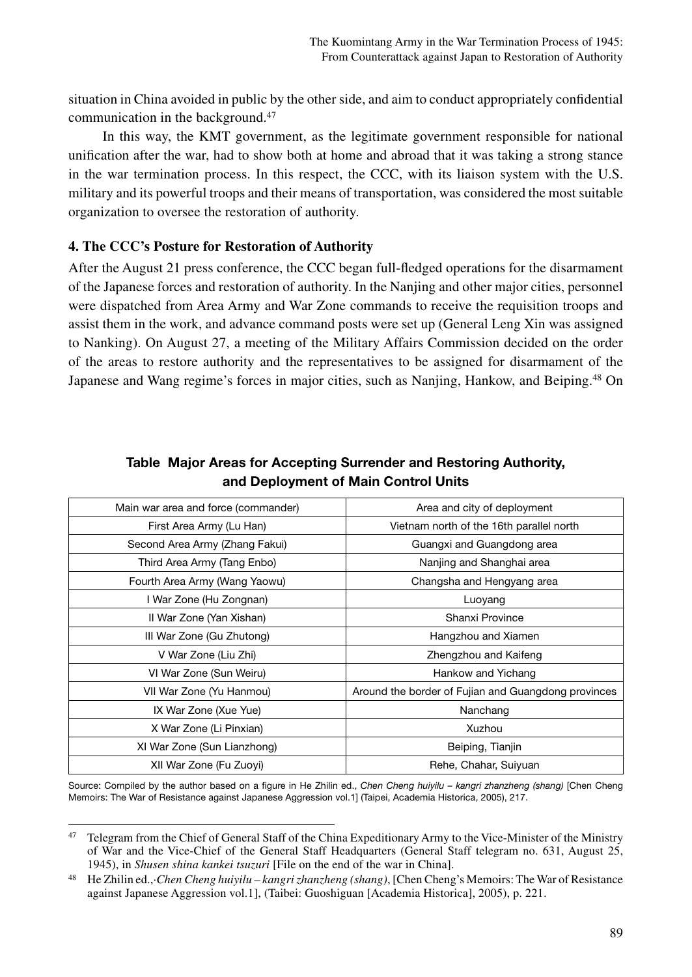situation in China avoided in public by the other side, and aim to conduct appropriately confidential communication in the background.47

In this way, the KMT government, as the legitimate government responsible for national unification after the war, had to show both at home and abroad that it was taking a strong stance in the war termination process. In this respect, the CCC, with its liaison system with the U.S. military and its powerful troops and their means of transportation, was considered the most suitable organization to oversee the restoration of authority.

## **4. The CCC's Posture for Restoration of Authority**

After the August 21 press conference, the CCC began full-fledged operations for the disarmament of the Japanese forces and restoration of authority. In the Nanjing and other major cities, personnel were dispatched from Area Army and War Zone commands to receive the requisition troops and assist them in the work, and advance command posts were set up (General Leng Xin was assigned to Nanking). On August 27, a meeting of the Military Affairs Commission decided on the order of the areas to restore authority and the representatives to be assigned for disarmament of the Japanese and Wang regime's forces in major cities, such as Nanjing, Hankow, and Beiping.48 On

| Main war area and force (commander) | Area and city of deployment                         |
|-------------------------------------|-----------------------------------------------------|
| First Area Army (Lu Han)            | Vietnam north of the 16th parallel north            |
| Second Area Army (Zhang Fakui)      | Guangxi and Guangdong area                          |
| Third Area Army (Tang Enbo)         | Nanjing and Shanghai area                           |
| Fourth Area Army (Wang Yaowu)       | Changsha and Hengyang area                          |
| I War Zone (Hu Zongnan)             | Luoyang                                             |
| II War Zone (Yan Xishan)            | Shanxi Province                                     |
| III War Zone (Gu Zhutong)           | Hangzhou and Xiamen                                 |
| V War Zone (Liu Zhi)                | Zhengzhou and Kaifeng                               |
| VI War Zone (Sun Weiru)             | Hankow and Yichang                                  |
| VII War Zone (Yu Hanmou)            | Around the border of Fujian and Guangdong provinces |
| IX War Zone (Xue Yue)               | Nanchang                                            |
| X War Zone (Li Pinxian)             | Xuzhou                                              |
| XI War Zone (Sun Lianzhong)         | Beiping, Tianjin                                    |
| XII War Zone (Fu Zuoyi)             | Rehe, Chahar, Suiyuan                               |

# Table Major Areas for Accepting Surrender and Restoring Authority, and Deployment of Main Control Units

Source: Compiled by the author based on a figure in He Zhilin ed., *Chen Cheng huiyilu – kangri zhanzheng (shang)* [Chen Cheng Memoirs: The War of Resistance against Japanese Aggression vol.1] (Taipei, Academia Historica, 2005), 217.

<sup>&</sup>lt;sup>47</sup> Telegram from the Chief of General Staff of the China Expeditionary Army to the Vice-Minister of the Ministry of War and the Vice-Chief of the General Staff Headquarters (General Staff telegram no. 631, August 25, 1945), in *Shusen shina kankei tsuzuri* [File on the end of the war in China].

<sup>48</sup> He Zhilin ed.,·*Chen Cheng huiyilu – kangri zhanzheng (shang)*, [Chen Cheng's Memoirs: The War of Resistance against Japanese Aggression vol.1], (Taibei: Guoshiguan [Academia Historica], 2005), p. 221.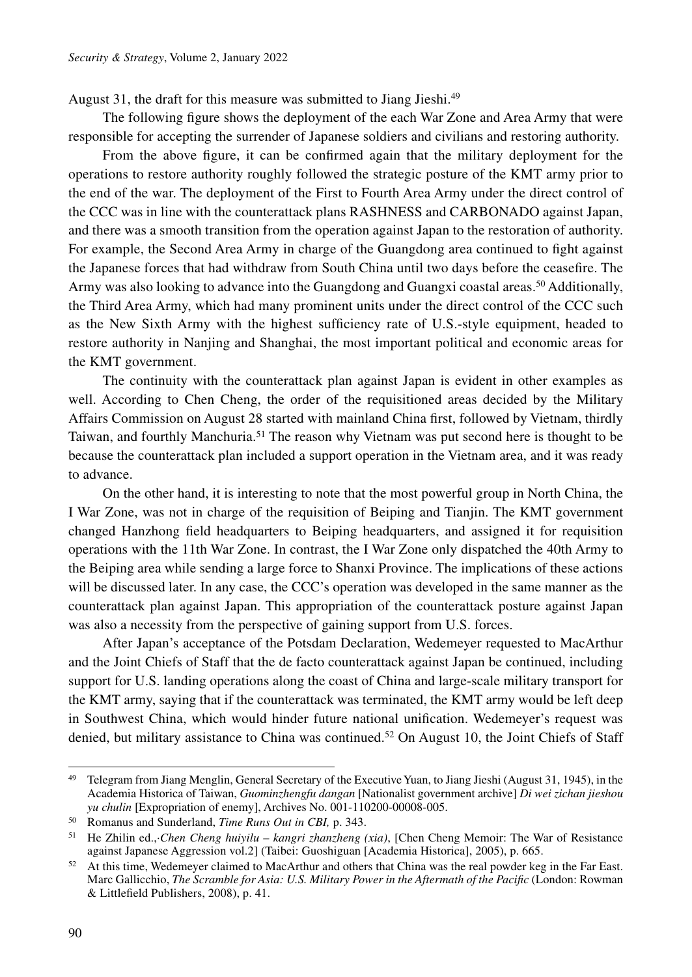August 31, the draft for this measure was submitted to Jiang Jieshi.<sup>49</sup>

The following figure shows the deployment of the each War Zone and Area Army that were responsible for accepting the surrender of Japanese soldiers and civilians and restoring authority.

From the above figure, it can be confirmed again that the military deployment for the operations to restore authority roughly followed the strategic posture of the KMT army prior to the end of the war. The deployment of the First to Fourth Area Army under the direct control of the CCC was in line with the counterattack plans RASHNESS and CARBONADO against Japan, and there was a smooth transition from the operation against Japan to the restoration of authority. For example, the Second Area Army in charge of the Guangdong area continued to fight against the Japanese forces that had withdraw from South China until two days before the ceasefire. The Army was also looking to advance into the Guangdong and Guangxi coastal areas.50 Additionally, the Third Area Army, which had many prominent units under the direct control of the CCC such as the New Sixth Army with the highest sufficiency rate of U.S.-style equipment, headed to restore authority in Nanjing and Shanghai, the most important political and economic areas for the KMT government.

The continuity with the counterattack plan against Japan is evident in other examples as well. According to Chen Cheng, the order of the requisitioned areas decided by the Military Affairs Commission on August 28 started with mainland China first, followed by Vietnam, thirdly Taiwan, and fourthly Manchuria.51 The reason why Vietnam was put second here is thought to be because the counterattack plan included a support operation in the Vietnam area, and it was ready to advance.

On the other hand, it is interesting to note that the most powerful group in North China, the I War Zone, was not in charge of the requisition of Beiping and Tianjin. The KMT government changed Hanzhong field headquarters to Beiping headquarters, and assigned it for requisition operations with the 11th War Zone. In contrast, the I War Zone only dispatched the 40th Army to the Beiping area while sending a large force to Shanxi Province. The implications of these actions will be discussed later. In any case, the CCC's operation was developed in the same manner as the counterattack plan against Japan. This appropriation of the counterattack posture against Japan was also a necessity from the perspective of gaining support from U.S. forces.

After Japan's acceptance of the Potsdam Declaration, Wedemeyer requested to MacArthur and the Joint Chiefs of Staff that the de facto counterattack against Japan be continued, including support for U.S. landing operations along the coast of China and large-scale military transport for the KMT army, saying that if the counterattack was terminated, the KMT army would be left deep in Southwest China, which would hinder future national unification. Wedemeyer's request was denied, but military assistance to China was continued.<sup>52</sup> On August 10, the Joint Chiefs of Staff

<sup>&</sup>lt;sup>49</sup> Telegram from Jiang Menglin, General Secretary of the Executive Yuan, to Jiang Jieshi (August 31, 1945), in the Academia Historica of Taiwan, *Guominzhengfu dangan* [Nationalist government archive] *Di wei zichan jieshou yu chulin* [Expropriation of enemy], Archives No. 001-110200-00008-005.

<sup>50</sup> Romanus and Sunderland, *Time Runs Out in CBI,* p. 343.

<sup>51</sup> He Zhilin ed.,·*Chen Cheng huiyilu – kangri zhanzheng (xia)*, [Chen Cheng Memoir: The War of Resistance against Japanese Aggression vol.2] (Taibei: Guoshiguan [Academia Historica], 2005), p. 665.

<sup>&</sup>lt;sup>52</sup> At this time, Wedemeyer claimed to MacArthur and others that China was the real powder keg in the Far East. Marc Gallicchio, *The Scramble for Asia: U.S. Military Power in the Aftermath of the Pacific* (London: Rowman & Littlefield Publishers, 2008), p. 41.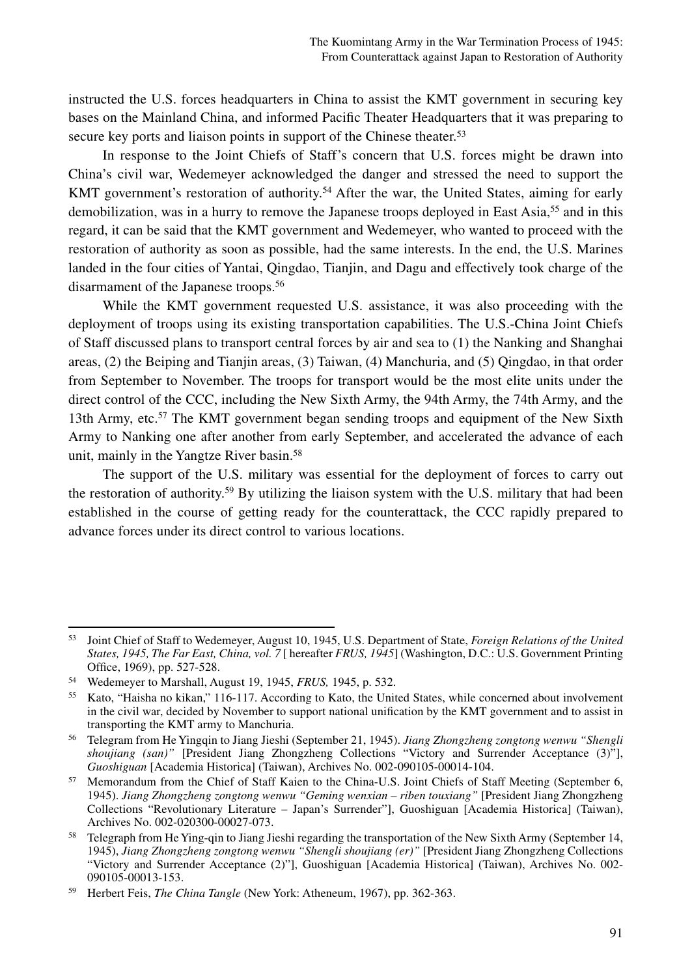instructed the U.S. forces headquarters in China to assist the KMT government in securing key bases on the Mainland China, and informed Pacific Theater Headquarters that it was preparing to secure key ports and liaison points in support of the Chinese theater.<sup>53</sup>

In response to the Joint Chiefs of Staff's concern that U.S. forces might be drawn into China's civil war, Wedemeyer acknowledged the danger and stressed the need to support the KMT government's restoration of authority.<sup>54</sup> After the war, the United States, aiming for early demobilization, was in a hurry to remove the Japanese troops deployed in East Asia,<sup>55</sup> and in this regard, it can be said that the KMT government and Wedemeyer, who wanted to proceed with the restoration of authority as soon as possible, had the same interests. In the end, the U.S. Marines landed in the four cities of Yantai, Qingdao, Tianjin, and Dagu and effectively took charge of the disarmament of the Japanese troops.56

While the KMT government requested U.S. assistance, it was also proceeding with the deployment of troops using its existing transportation capabilities. The U.S.-China Joint Chiefs of Staff discussed plans to transport central forces by air and sea to (1) the Nanking and Shanghai areas, (2) the Beiping and Tianjin areas, (3) Taiwan, (4) Manchuria, and (5) Qingdao, in that order from September to November. The troops for transport would be the most elite units under the direct control of the CCC, including the New Sixth Army, the 94th Army, the 74th Army, and the 13th Army, etc.<sup>57</sup> The KMT government began sending troops and equipment of the New Sixth Army to Nanking one after another from early September, and accelerated the advance of each unit, mainly in the Yangtze River basin.58

The support of the U.S. military was essential for the deployment of forces to carry out the restoration of authority.<sup>59</sup> By utilizing the liaison system with the U.S. military that had been established in the course of getting ready for the counterattack, the CCC rapidly prepared to advance forces under its direct control to various locations.

<sup>53</sup> Joint Chief of Staff to Wedemeyer, August 10, 1945, U.S. Department of State, *Foreign Relations of the United States, 1945, The Far East, China, vol. 7* [ hereafter *FRUS, 1945*] (Washington, D.C.: U.S. Government Printing Office, 1969), pp. 527-528.

<sup>54</sup> Wedemeyer to Marshall, August 19, 1945, *FRUS,* 1945, p. 532.

<sup>55</sup> Kato, "Haisha no kikan," 116-117. According to Kato, the United States, while concerned about involvement in the civil war, decided by November to support national unification by the KMT government and to assist in transporting the KMT army to Manchuria.

<sup>56</sup> Telegram from He Yingqin to Jiang Jieshi (September 21, 1945). *Jiang Zhongzheng zongtong wenwu "Shengli shoujiang (san)"* [President Jiang Zhongzheng Collections "Victory and Surrender Acceptance (3)"], *Guoshiguan* [Academia Historica] (Taiwan), Archives No. 002-090105-00014-104.

<sup>57</sup> Memorandum from the Chief of Staff Kaien to the China-U.S. Joint Chiefs of Staff Meeting (September 6, 1945). *Jiang Zhongzheng zongtong wenwu "Geming wenxian – riben touxiang"* [President Jiang Zhongzheng Collections "Revolutionary Literature – Japan's Surrender"], Guoshiguan [Academia Historica] (Taiwan), Archives No. 002-020300-00027-073.

<sup>58</sup> Telegraph from He Ying-qin to Jiang Jieshi regarding the transportation of the New Sixth Army (September 14, 1945), *Jiang Zhongzheng zongtong wenwu "Shengli shoujiang (er)"* [President Jiang Zhongzheng Collections "Victory and Surrender Acceptance (2)"], Guoshiguan [Academia Historica] (Taiwan), Archives No. 002- 090105-00013-153.

<sup>59</sup> Herbert Feis, *The China Tangle* (New York: Atheneum, 1967), pp. 362-363.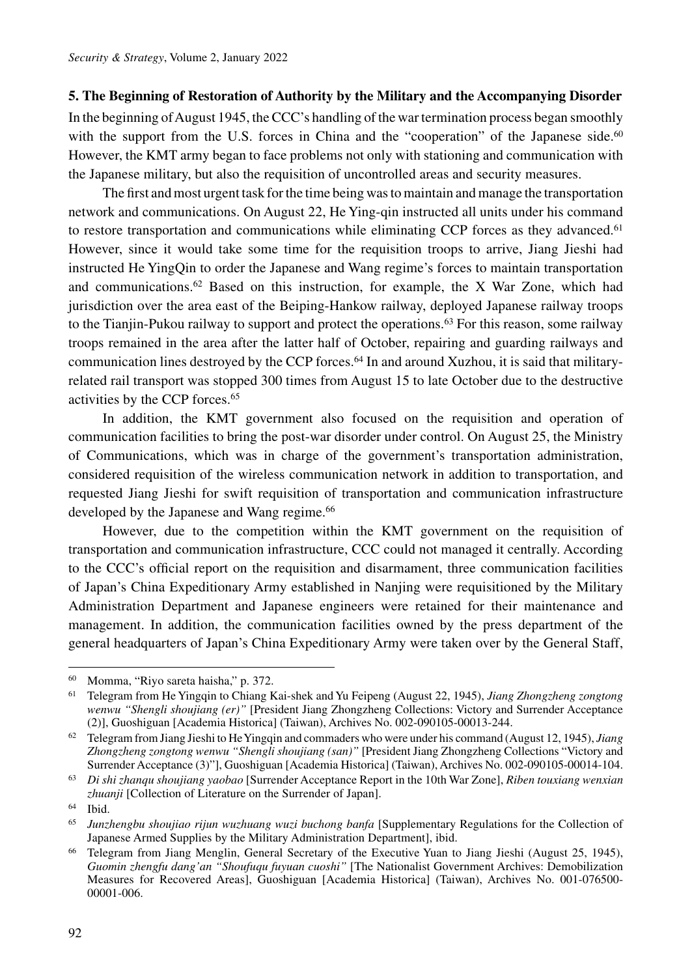## **5. The Beginning of Restoration of Authority by the Military and the Accompanying Disorder**

In the beginning of August 1945, the CCC's handling of the war termination process began smoothly with the support from the U.S. forces in China and the "cooperation" of the Japanese side.<sup>60</sup> However, the KMT army began to face problems not only with stationing and communication with the Japanese military, but also the requisition of uncontrolled areas and security measures.

The first and most urgent task for the time being was to maintain and manage the transportation network and communications. On August 22, He Ying-qin instructed all units under his command to restore transportation and communications while eliminating CCP forces as they advanced.<sup>61</sup> However, since it would take some time for the requisition troops to arrive, Jiang Jieshi had instructed He YingQin to order the Japanese and Wang regime's forces to maintain transportation and communications. $62$  Based on this instruction, for example, the X War Zone, which had jurisdiction over the area east of the Beiping-Hankow railway, deployed Japanese railway troops to the Tianjin-Pukou railway to support and protect the operations.63 For this reason, some railway troops remained in the area after the latter half of October, repairing and guarding railways and communication lines destroyed by the CCP forces.64 In and around Xuzhou, it is said that militaryrelated rail transport was stopped 300 times from August 15 to late October due to the destructive activities by the CCP forces.65

In addition, the KMT government also focused on the requisition and operation of communication facilities to bring the post-war disorder under control. On August 25, the Ministry of Communications, which was in charge of the government's transportation administration, considered requisition of the wireless communication network in addition to transportation, and requested Jiang Jieshi for swift requisition of transportation and communication infrastructure developed by the Japanese and Wang regime.<sup>66</sup>

However, due to the competition within the KMT government on the requisition of transportation and communication infrastructure, CCC could not managed it centrally. According to the CCC's official report on the requisition and disarmament, three communication facilities of Japan's China Expeditionary Army established in Nanjing were requisitioned by the Military Administration Department and Japanese engineers were retained for their maintenance and management. In addition, the communication facilities owned by the press department of the general headquarters of Japan's China Expeditionary Army were taken over by the General Staff,

<sup>60</sup> Momma, "Riyo sareta haisha," p. 372. 61 Telegram from He Yingqin to Chiang Kai-shek and Yu Feipeng (August 22, 1945), *Jiang Zhongzheng zongtong wenwu "Shengli shoujiang (er)"* [President Jiang Zhongzheng Collections: Victory and Surrender Acceptance (2)], Guoshiguan [Academia Historica] (Taiwan), Archives No. 002-090105-00013-244.

<sup>62</sup> Telegram from Jiang Jieshi to He Yingqin and commaders who were under his command (August 12, 1945), *Jiang Zhongzheng zongtong wenwu "Shengli shoujiang (san)"* [President Jiang Zhongzheng Collections "Victory and Surrender Acceptance (3)"], Guoshiguan [Academia Historica] (Taiwan), Archives No. 002-090105-00014-104.

<sup>63</sup> *Di shi zhanqu shoujiang yaobao* [Surrender Acceptance Report in the 10th War Zone], *Riben touxiang wenxian zhuanji* [Collection of Literature on the Surrender of Japan].

<sup>64</sup> Ibid. 65 *Junzhengbu shoujiao rijun wuzhuang wuzi buchong banfa* [Supplementary Regulations for the Collection of Japanese Armed Supplies by the Military Administration Department], ibid.

<sup>66</sup> Telegram from Jiang Menglin, General Secretary of the Executive Yuan to Jiang Jieshi (August 25, 1945), *Guomin zhengfu dang'an "Shoufuqu fuyuan cuoshi"* [The Nationalist Government Archives: Demobilization Measures for Recovered Areas], Guoshiguan [Academia Historica] (Taiwan), Archives No. 001-076500- 00001-006.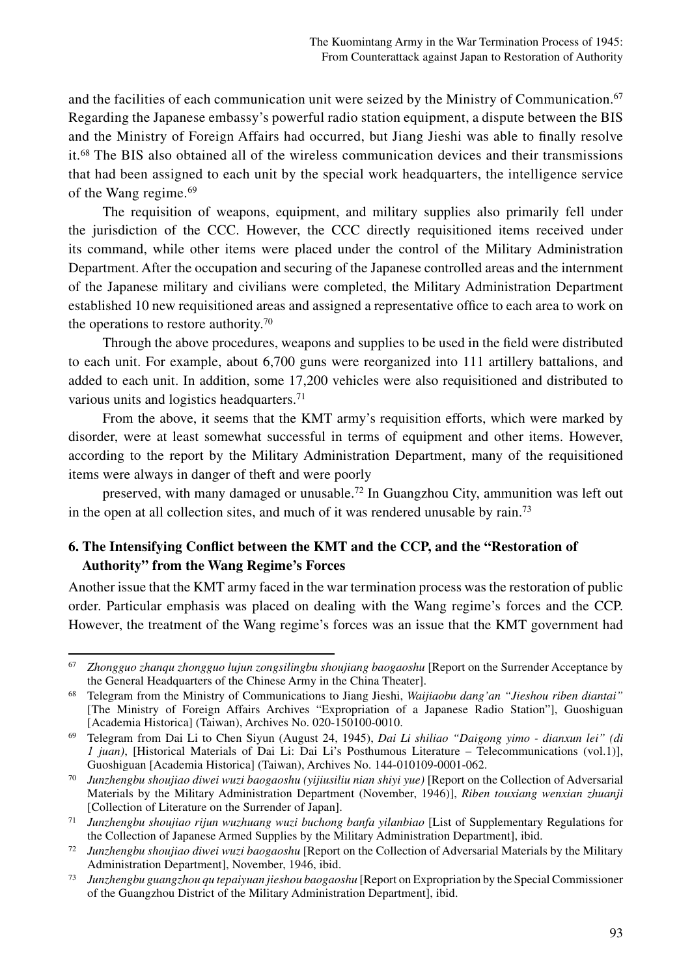and the facilities of each communication unit were seized by the Ministry of Communication. $67$ Regarding the Japanese embassy's powerful radio station equipment, a dispute between the BIS and the Ministry of Foreign Affairs had occurred, but Jiang Jieshi was able to finally resolve it.68 The BIS also obtained all of the wireless communication devices and their transmissions that had been assigned to each unit by the special work headquarters, the intelligence service of the Wang regime.69

The requisition of weapons, equipment, and military supplies also primarily fell under the jurisdiction of the CCC. However, the CCC directly requisitioned items received under its command, while other items were placed under the control of the Military Administration Department. After the occupation and securing of the Japanese controlled areas and the internment of the Japanese military and civilians were completed, the Military Administration Department established 10 new requisitioned areas and assigned a representative office to each area to work on the operations to restore authority.70

Through the above procedures, weapons and supplies to be used in the field were distributed to each unit. For example, about 6,700 guns were reorganized into 111 artillery battalions, and added to each unit. In addition, some 17,200 vehicles were also requisitioned and distributed to various units and logistics headquarters.<sup>71</sup>

From the above, it seems that the KMT army's requisition efforts, which were marked by disorder, were at least somewhat successful in terms of equipment and other items. However, according to the report by the Military Administration Department, many of the requisitioned items were always in danger of theft and were poorly

preserved, with many damaged or unusable.72 In Guangzhou City, ammunition was left out in the open at all collection sites, and much of it was rendered unusable by rain.73

## **6. The Intensifying Conflict between the KMT and the CCP, and the "Restoration of Authority" from the Wang Regime's Forces**

Another issue that the KMT army faced in the war termination process was the restoration of public order. Particular emphasis was placed on dealing with the Wang regime's forces and the CCP. However, the treatment of the Wang regime's forces was an issue that the KMT government had

<sup>67</sup> *Zhongguo zhanqu zhongguo lujun zongsilingbu shoujiang baogaoshu* [Report on the Surrender Acceptance by the General Headquarters of the Chinese Army in the China Theater].

<sup>68</sup> Telegram from the Ministry of Communications to Jiang Jieshi, *Waijiaobu dang'an "Jieshou riben diantai"*  [The Ministry of Foreign Affairs Archives "Expropriation of a Japanese Radio Station"], Guoshiguan [Academia Historica] (Taiwan), Archives No. 020-150100-0010.

<sup>69</sup> Telegram from Dai Li to Chen Siyun (August 24, 1945), *Dai Li shiliao "Daigong yimo - dianxun lei" (di 1 juan)*, [Historical Materials of Dai Li: Dai Li's Posthumous Literature – Telecommunications (vol.1)], Guoshiguan [Academia Historica] (Taiwan), Archives No. 144-010109-0001-062.

<sup>70</sup> *Junzhengbu shoujiao diwei wuzi baogaoshu (yijiusiliu nian shiyi yue)* [Report on the Collection of Adversarial Materials by the Military Administration Department (November, 1946)], *Riben touxiang wenxian zhuanji* [Collection of Literature on the Surrender of Japan].

<sup>71</sup> *Junzhengbu shoujiao rijun wuzhuang wuzi buchong banfa yilanbiao* [List of Supplementary Regulations for the Collection of Japanese Armed Supplies by the Military Administration Department], ibid.

<sup>72</sup> *Junzhengbu shoujiao diwei wuzi baogaoshu* [Report on the Collection of Adversarial Materials by the Military Administration Department], November, 1946, ibid.

<sup>73</sup> *Junzhengbu guangzhou qu tepaiyuan jieshou baogaoshu* [Report on Expropriation by the Special Commissioner of the Guangzhou District of the Military Administration Department], ibid.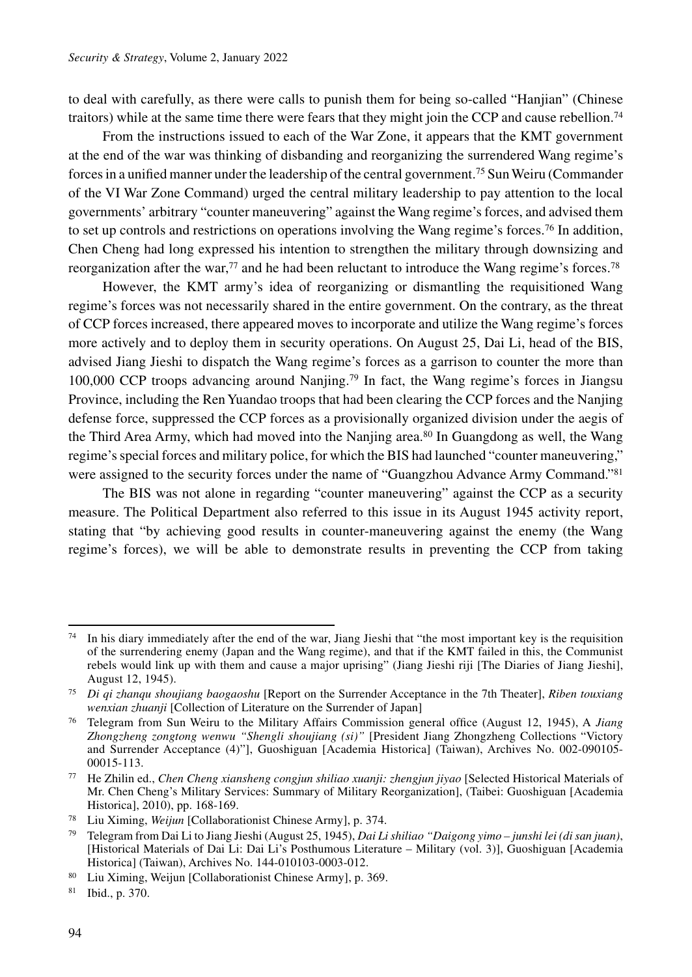to deal with carefully, as there were calls to punish them for being so-called "Hanjian" (Chinese traitors) while at the same time there were fears that they might join the CCP and cause rebellion.74

From the instructions issued to each of the War Zone, it appears that the KMT government at the end of the war was thinking of disbanding and reorganizing the surrendered Wang regime's forces in a unified manner under the leadership of the central government.75 Sun Weiru (Commander of the VI War Zone Command) urged the central military leadership to pay attention to the local governments' arbitrary "counter maneuvering" against the Wang regime's forces, and advised them to set up controls and restrictions on operations involving the Wang regime's forces.76 In addition, Chen Cheng had long expressed his intention to strengthen the military through downsizing and reorganization after the war,<sup>77</sup> and he had been reluctant to introduce the Wang regime's forces.<sup>78</sup>

However, the KMT army's idea of reorganizing or dismantling the requisitioned Wang regime's forces was not necessarily shared in the entire government. On the contrary, as the threat of CCP forces increased, there appeared moves to incorporate and utilize the Wang regime's forces more actively and to deploy them in security operations. On August 25, Dai Li, head of the BIS, advised Jiang Jieshi to dispatch the Wang regime's forces as a garrison to counter the more than 100,000 CCP troops advancing around Nanjing.79 In fact, the Wang regime's forces in Jiangsu Province, including the Ren Yuandao troops that had been clearing the CCP forces and the Nanjing defense force, suppressed the CCP forces as a provisionally organized division under the aegis of the Third Area Army, which had moved into the Nanjing area.<sup>80</sup> In Guangdong as well, the Wang regime's special forces and military police, for which the BIS had launched "counter maneuvering," were assigned to the security forces under the name of "Guangzhou Advance Army Command."<sup>81</sup>

The BIS was not alone in regarding "counter maneuvering" against the CCP as a security measure. The Political Department also referred to this issue in its August 1945 activity report, stating that "by achieving good results in counter-maneuvering against the enemy (the Wang regime's forces), we will be able to demonstrate results in preventing the CCP from taking

 $74$  In his diary immediately after the end of the war, Jiang Jieshi that "the most important key is the requisition of the surrendering enemy (Japan and the Wang regime), and that if the KMT failed in this, the Communist rebels would link up with them and cause a major uprising" (Jiang Jieshi riji [The Diaries of Jiang Jieshi], August 12, 1945).

<sup>75</sup> *Di qi zhanqu shoujiang baogaoshu* [Report on the Surrender Acceptance in the 7th Theater], *Riben touxiang wenxian zhuanji* [Collection of Literature on the Surrender of Japan]

<sup>76</sup> Telegram from Sun Weiru to the Military Affairs Commission general office (August 12, 1945), A *Jiang Zhongzheng zongtong wenwu "Shengli shoujiang (si)"* [President Jiang Zhongzheng Collections "Victory and Surrender Acceptance (4)"], Guoshiguan [Academia Historica] (Taiwan), Archives No. 002-090105- 00015-113.

<sup>77</sup> He Zhilin ed., *Chen Cheng xiansheng congjun shiliao xuanji: zhengjun jiyao* [Selected Historical Materials of Mr. Chen Cheng's Military Services: Summary of Military Reorganization], (Taibei: Guoshiguan [Academia Historica], 2010), pp. 168-169.

<sup>78</sup> Liu Ximing, *Weijun* [Collaborationist Chinese Army], p. 374.

<sup>79</sup> Telegram from Dai Li to Jiang Jieshi (August 25, 1945), *Dai Li shiliao "Daigong yimo – junshi lei (di san juan)*, [Historical Materials of Dai Li: Dai Li's Posthumous Literature – Military (vol. 3)], Guoshiguan [Academia Historica] (Taiwan), Archives No. 144-010103-0003-012.

<sup>80</sup> Liu Ximing, Weijun [Collaborationist Chinese Army], p. 369.

<sup>81</sup> Ibid., p. 370.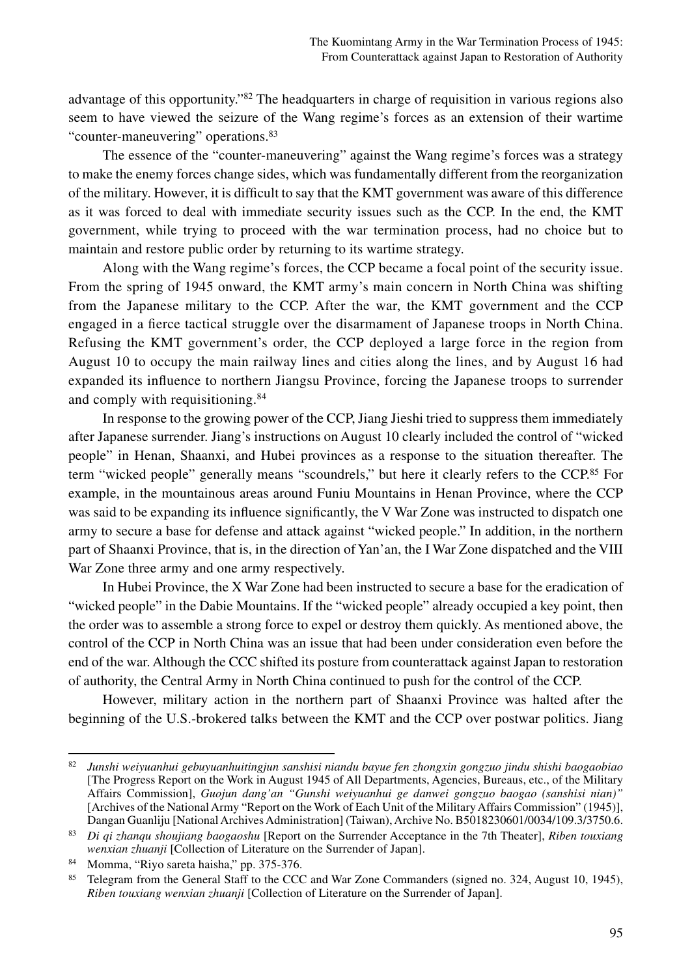advantage of this opportunity."82 The headquarters in charge of requisition in various regions also seem to have viewed the seizure of the Wang regime's forces as an extension of their wartime "counter-maneuvering" operations.83

The essence of the "counter-maneuvering" against the Wang regime's forces was a strategy to make the enemy forces change sides, which was fundamentally different from the reorganization of the military. However, it is difficult to say that the KMT government was aware of this difference as it was forced to deal with immediate security issues such as the CCP. In the end, the KMT government, while trying to proceed with the war termination process, had no choice but to maintain and restore public order by returning to its wartime strategy.

Along with the Wang regime's forces, the CCP became a focal point of the security issue. From the spring of 1945 onward, the KMT army's main concern in North China was shifting from the Japanese military to the CCP. After the war, the KMT government and the CCP engaged in a fierce tactical struggle over the disarmament of Japanese troops in North China. Refusing the KMT government's order, the CCP deployed a large force in the region from August 10 to occupy the main railway lines and cities along the lines, and by August 16 had expanded its influence to northern Jiangsu Province, forcing the Japanese troops to surrender and comply with requisitioning.84

In response to the growing power of the CCP, Jiang Jieshi tried to suppress them immediately after Japanese surrender. Jiang's instructions on August 10 clearly included the control of "wicked people" in Henan, Shaanxi, and Hubei provinces as a response to the situation thereafter. The term "wicked people" generally means "scoundrels," but here it clearly refers to the CCP.<sup>85</sup> For example, in the mountainous areas around Funiu Mountains in Henan Province, where the CCP was said to be expanding its influence significantly, the V War Zone was instructed to dispatch one army to secure a base for defense and attack against "wicked people." In addition, in the northern part of Shaanxi Province, that is, in the direction of Yan'an, the I War Zone dispatched and the VIII War Zone three army and one army respectively.

In Hubei Province, the X War Zone had been instructed to secure a base for the eradication of "wicked people" in the Dabie Mountains. If the "wicked people" already occupied a key point, then the order was to assemble a strong force to expel or destroy them quickly. As mentioned above, the control of the CCP in North China was an issue that had been under consideration even before the end of the war. Although the CCC shifted its posture from counterattack against Japan to restoration of authority, the Central Army in North China continued to push for the control of the CCP.

However, military action in the northern part of Shaanxi Province was halted after the beginning of the U.S.-brokered talks between the KMT and the CCP over postwar politics. Jiang

<sup>82</sup> *Junshi weiyuanhui gebuyuanhuitingjun sanshisi niandu bayue fen zhongxin gongzuo jindu shishi baogaobiao* [The Progress Report on the Work in August 1945 of All Departments, Agencies, Bureaus, etc., of the Military Affairs Commission], *Guojun dang'an "Gunshi weiyuanhui ge danwei gongzuo baogao (sanshisi nian)"* [Archives of the National Army "Report on the Work of Each Unit of the Military Affairs Commission" (1945)], Dangan Guanliju [National Archives Administration] (Taiwan), Archive No. B5018230601/0034/109.3/3750.6.

<sup>83</sup> *Di qi zhanqu shoujiang baogaoshu* [Report on the Surrender Acceptance in the 7th Theater], *Riben touxiang wenxian zhuanji* [Collection of Literature on the Surrender of Japan].

<sup>84</sup> Momma, "Riyo sareta haisha," pp. 375-376.

<sup>&</sup>lt;sup>85</sup> Telegram from the General Staff to the CCC and War Zone Commanders (signed no. 324, August 10, 1945), *Riben touxiang wenxian zhuanji* [Collection of Literature on the Surrender of Japan].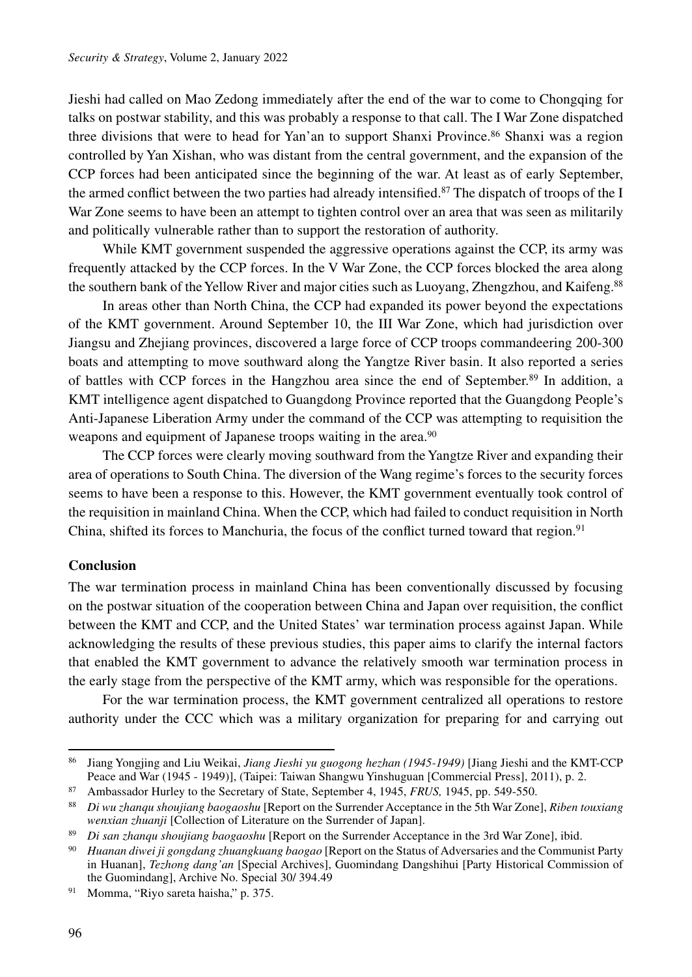Jieshi had called on Mao Zedong immediately after the end of the war to come to Chongqing for talks on postwar stability, and this was probably a response to that call. The I War Zone dispatched three divisions that were to head for Yan'an to support Shanxi Province.<sup>86</sup> Shanxi was a region controlled by Yan Xishan, who was distant from the central government, and the expansion of the CCP forces had been anticipated since the beginning of the war. At least as of early September, the armed conflict between the two parties had already intensified.<sup>87</sup> The dispatch of troops of the I War Zone seems to have been an attempt to tighten control over an area that was seen as militarily and politically vulnerable rather than to support the restoration of authority.

While KMT government suspended the aggressive operations against the CCP, its army was frequently attacked by the CCP forces. In the V War Zone, the CCP forces blocked the area along the southern bank of the Yellow River and major cities such as Luoyang, Zhengzhou, and Kaifeng.<sup>88</sup>

In areas other than North China, the CCP had expanded its power beyond the expectations of the KMT government. Around September 10, the III War Zone, which had jurisdiction over Jiangsu and Zhejiang provinces, discovered a large force of CCP troops commandeering 200-300 boats and attempting to move southward along the Yangtze River basin. It also reported a series of battles with CCP forces in the Hangzhou area since the end of September.89 In addition, a KMT intelligence agent dispatched to Guangdong Province reported that the Guangdong People's Anti-Japanese Liberation Army under the command of the CCP was attempting to requisition the weapons and equipment of Japanese troops waiting in the area.<sup>90</sup>

The CCP forces were clearly moving southward from the Yangtze River and expanding their area of operations to South China. The diversion of the Wang regime's forces to the security forces seems to have been a response to this. However, the KMT government eventually took control of the requisition in mainland China. When the CCP, which had failed to conduct requisition in North China, shifted its forces to Manchuria, the focus of the conflict turned toward that region.<sup>91</sup>

#### **Conclusion**

The war termination process in mainland China has been conventionally discussed by focusing on the postwar situation of the cooperation between China and Japan over requisition, the conflict between the KMT and CCP, and the United States' war termination process against Japan. While acknowledging the results of these previous studies, this paper aims to clarify the internal factors that enabled the KMT government to advance the relatively smooth war termination process in the early stage from the perspective of the KMT army, which was responsible for the operations.

For the war termination process, the KMT government centralized all operations to restore authority under the CCC which was a military organization for preparing for and carrying out

Momma, "Riyo sareta haisha," p. 375.

<sup>86</sup> Jiang Yongjing and Liu Weikai, *Jiang Jieshi yu guogong hezhan (1945-1949)* [Jiang Jieshi and the KMT-CCP Peace and War (1945 - 1949)], (Taipei: Taiwan Shangwu Yinshuguan [Commercial Press], 2011), p. 2.

<sup>87</sup> Ambassador Hurley to the Secretary of State, September 4, 1945, *FRUS,* 1945, pp. 549-550.

<sup>88</sup> *Di wu zhanqu shoujiang baogaoshu* [Report on the Surrender Acceptance in the 5th War Zone], *Riben touxiang wenxian zhuanji* [Collection of Literature on the Surrender of Japan].

<sup>89</sup> *Di san zhanqu shoujiang baogaoshu* [Report on the Surrender Acceptance in the 3rd War Zone], ibid.

<sup>90</sup> *Huanan diwei ji gongdang zhuangkuang baogao* [Report on the Status of Adversaries and the Communist Party in Huanan], *Tezhong dang'an* [Special Archives], Guomindang Dangshihui [Party Historical Commission of the Guomindang], Archive No. Special 30/ 394.49